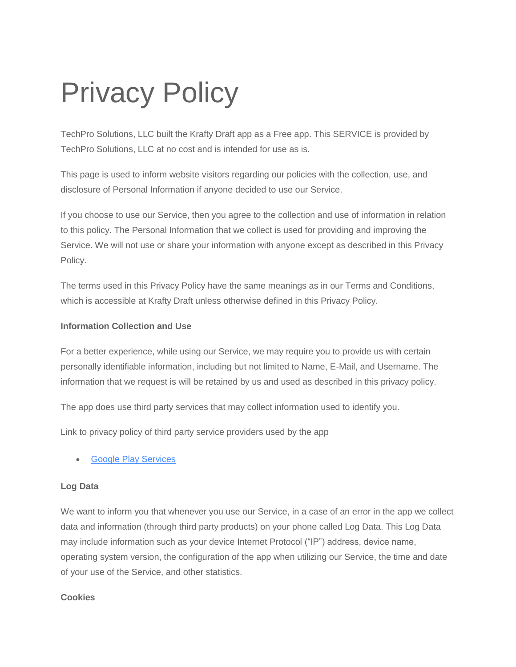# Privacy Policy

TechPro Solutions, LLC built the Krafty Draft app as a Free app. This SERVICE is provided by TechPro Solutions, LLC at no cost and is intended for use as is.

This page is used to inform website visitors regarding our policies with the collection, use, and disclosure of Personal Information if anyone decided to use our Service.

If you choose to use our Service, then you agree to the collection and use of information in relation to this policy. The Personal Information that we collect is used for providing and improving the Service. We will not use or share your information with anyone except as described in this Privacy Policy.

The terms used in this Privacy Policy have the same meanings as in our Terms and Conditions, which is accessible at Krafty Draft unless otherwise defined in this Privacy Policy.

## **Information Collection and Use**

For a better experience, while using our Service, we may require you to provide us with certain personally identifiable information, including but not limited to Name, E-Mail, and Username. The information that we request is will be retained by us and used as described in this privacy policy.

The app does use third party services that may collect information used to identify you.

Link to privacy policy of third party service providers used by the app

• [Google Play Services](https://www.google.com/policies/privacy/)

#### **Log Data**

We want to inform you that whenever you use our Service, in a case of an error in the app we collect data and information (through third party products) on your phone called Log Data. This Log Data may include information such as your device Internet Protocol ("IP") address, device name, operating system version, the configuration of the app when utilizing our Service, the time and date of your use of the Service, and other statistics.

#### **Cookies**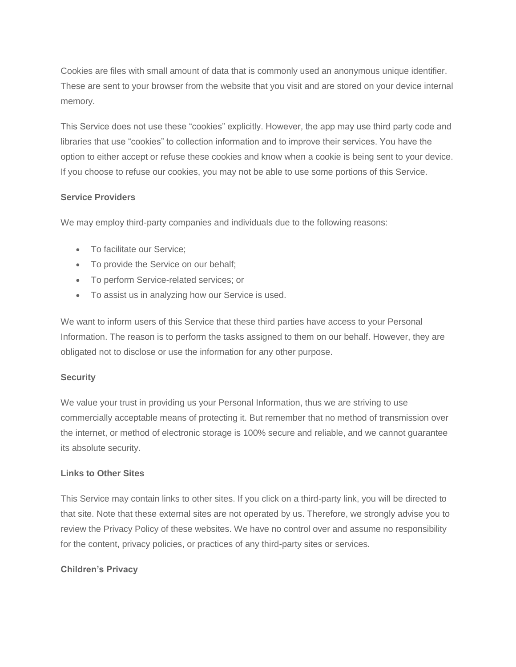Cookies are files with small amount of data that is commonly used an anonymous unique identifier. These are sent to your browser from the website that you visit and are stored on your device internal memory.

This Service does not use these "cookies" explicitly. However, the app may use third party code and libraries that use "cookies" to collection information and to improve their services. You have the option to either accept or refuse these cookies and know when a cookie is being sent to your device. If you choose to refuse our cookies, you may not be able to use some portions of this Service.

#### **Service Providers**

We may employ third-party companies and individuals due to the following reasons:

- To facilitate our Service;
- To provide the Service on our behalf;
- To perform Service-related services; or
- To assist us in analyzing how our Service is used.

We want to inform users of this Service that these third parties have access to your Personal Information. The reason is to perform the tasks assigned to them on our behalf. However, they are obligated not to disclose or use the information for any other purpose.

#### **Security**

We value your trust in providing us your Personal Information, thus we are striving to use commercially acceptable means of protecting it. But remember that no method of transmission over the internet, or method of electronic storage is 100% secure and reliable, and we cannot guarantee its absolute security.

#### **Links to Other Sites**

This Service may contain links to other sites. If you click on a third-party link, you will be directed to that site. Note that these external sites are not operated by us. Therefore, we strongly advise you to review the Privacy Policy of these websites. We have no control over and assume no responsibility for the content, privacy policies, or practices of any third-party sites or services.

## **Children's Privacy**